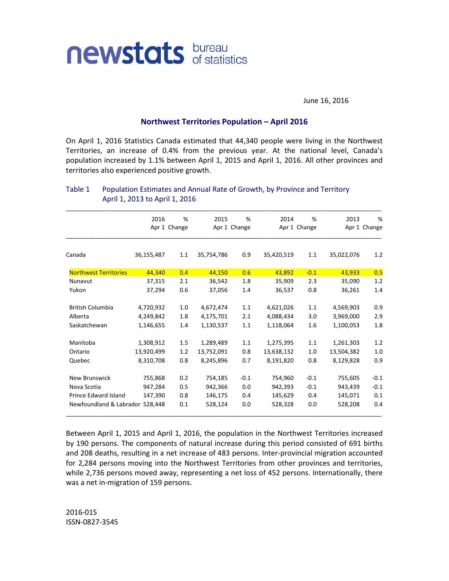

June 16, 2016

## **Northwest Territories Population – April 2016**

On April 1, 2016 Statistics Canada estimated that 44,340 people were living in the Northwest Territories, an increase of 0.4% from the previous year. At the national level, Canada's population increased by 1.1% between April 1, 2015 and April 1, 2016. All other provinces and territories also experienced positive growth.

|                                 | 2016         | %   | 2015         | %      | 2014       | %            | 2013       | %            |
|---------------------------------|--------------|-----|--------------|--------|------------|--------------|------------|--------------|
|                                 | Apr 1 Change |     | Apr 1 Change |        |            | Apr 1 Change |            | Apr 1 Change |
| Canada                          | 36,155,487   | 1.1 | 35,754,786   | 0.9    | 35,420,519 | 1.1          | 35,022,076 | 1.2          |
| <b>Northwest Territories</b>    | 44,340       | 0.4 | 44,150       | 0.6    | 43,892     | $-0.1$       | 43,933     | 0.5          |
| Nunavut                         | 37,315       | 2.1 | 36,542       | 1.8    | 35,909     | 2.3          | 35,090     | 1.2          |
| Yukon                           | 37,294       | 0.6 | 37,056       | 1.4    | 36,537     | 0.8          | 36,261     | 1.4          |
| <b>British Columbia</b>         | 4,720,932    | 1.0 | 4,672,474    | 1.1    | 4,621,026  | 1.1          | 4,569,903  | 0.9          |
| Alberta                         | 4,249,842    | 1.8 | 4,175,701    | 2.1    | 4,088,434  | 3.0          | 3,969,000  | 2.9          |
| Saskatchewan                    | 1,146,655    | 1.4 | 1,130,537    | 1.1    | 1,118,064  | 1.6          | 1,100,053  | 1.8          |
| Manitoba                        | 1,308,912    | 1.5 | 1,289,489    | 1.1    | 1,275,395  | 1.1          | 1,261,303  | 1.2          |
| Ontario                         | 13,920,499   | 1.2 | 13,752,091   | 0.8    | 13,638,132 | 1.0          | 13,504,382 | 1.0          |
| Quebec                          | 8,310,708    | 0.8 | 8,245,896    | 0.7    | 8,191,820  | 0.8          | 8,129,828  | 0.9          |
| New Brunswick                   | 755,868      | 0.2 | 754,185      | $-0.1$ | 754,960    | $-0.1$       | 755,605    | $-0.1$       |
| Nova Scotia                     | 947,284      | 0.5 | 942,366      | 0.0    | 942,393    | $-0.1$       | 943,439    | $-0.1$       |
| <b>Prince Edward Island</b>     | 147,390      | 0.8 | 146,175      | 0.4    | 145,629    | 0.4          | 145,071    | 0.1          |
| Newfoundland & Labrador 528,448 |              | 0.1 | 528,124      | 0.0    | 528,328    | 0.0          | 528,208    | 0.4          |

## Table 1 Population Estimates and Annual Rate of Growth, by Province and Territory April 1, 2013 to April 1, 2016

Between April 1, 2015 and April 1, 2016, the population in the Northwest Territories increased by 190 persons. The components of natural increase during this period consisted of 691 births and 208 deaths, resulting in a net increase of 483 persons. Inter-provincial migration accounted for 2,284 persons moving into the Northwest Territories from other provinces and territories, while 2,736 persons moved away, representing a net loss of 452 persons. Internationally, there was a net in-migration of 159 persons.

2016-015 ISSN-0827-3545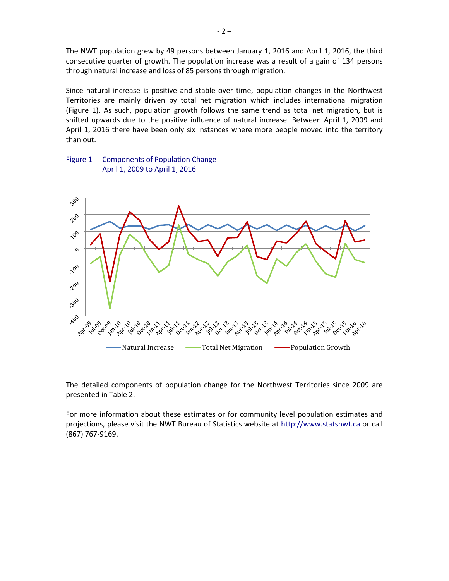The NWT population grew by 49 persons between January 1, 2016 and April 1, 2016, the third consecutive quarter of growth. The population increase was a result of a gain of 134 persons through natural increase and loss of 85 persons through migration.

Since natural increase is positive and stable over time, population changes in the Northwest Territories are mainly driven by total net migration which includes international migration (Figure 1). As such, population growth follows the same trend as total net migration, but is shifted upwards due to the positive influence of natural increase. Between April 1, 2009 and April 1, 2016 there have been only six instances where more people moved into the territory than out.

## Figure 1 Components of Population Change April 1, 2009 to April 1, 2016



The detailed components of population change for the Northwest Territories since 2009 are presented in Table 2.

For more information about these estimates or for community level population estimates and projections, please visit the NWT Bureau of Statistics website at http://www.statsnwt.ca or call (867) 767-9169.